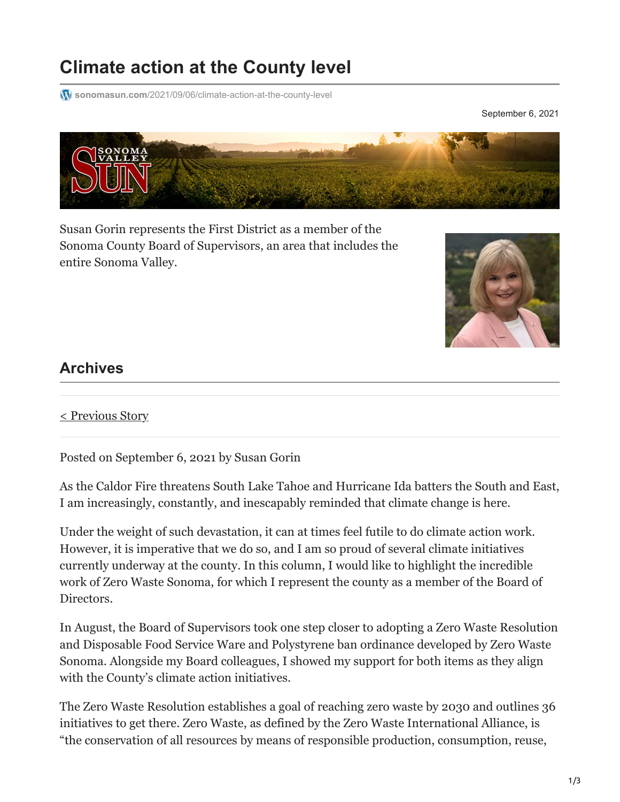## **Climate action at the County level**

**W** sonomasun.com[/2021/09/06/climate-action-at-the-county-level](https://sonomasun.com/2021/09/06/climate-action-at-the-county-level/)

September 6, 2021



Susan Gorin represents the First District as a member of the Sonoma County Board of Supervisors, an area that includes the entire Sonoma Valley.



## **Archives**

[< Previous Story](https://sonomasun.com/2021/08/16/why-are-we-having-so-many-recall-elections/)

Posted on September 6, 2021 by Susan Gorin

As the Caldor Fire threatens South Lake Tahoe and Hurricane Ida batters the South and East, I am increasingly, constantly, and inescapably reminded that climate change is here.

Under the weight of such devastation, it can at times feel futile to do climate action work. However, it is imperative that we do so, and I am so proud of several climate initiatives currently underway at the county. In this column, I would like to highlight the incredible work of Zero Waste Sonoma, for which I represent the county as a member of the Board of Directors.

In August, the Board of Supervisors took one step closer to adopting a Zero Waste Resolution and Disposable Food Service Ware and Polystyrene ban ordinance developed by Zero Waste Sonoma. Alongside my Board colleagues, I showed my support for both items as they align with the County's climate action initiatives.

The Zero Waste Resolution establishes a goal of reaching zero waste by 2030 and outlines 36 initiatives to get there. Zero Waste, as defined by the Zero Waste International Alliance, is "the conservation of all resources by means of responsible production, consumption, reuse,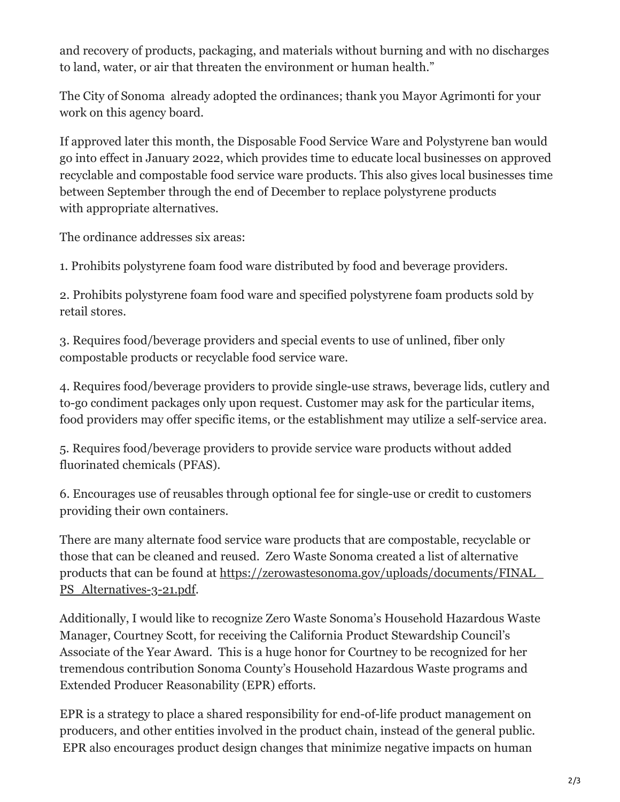and recovery of products, packaging, and materials without burning and with no discharges to land, water, or air that threaten the environment or human health."

The City of Sonoma already adopted the ordinances; thank you Mayor Agrimonti for your work on this agency board.

If approved later this month, the Disposable Food Service Ware and Polystyrene ban would go into effect in January 2022, which provides time to educate local businesses on approved recyclable and compostable food service ware products. This also gives local businesses time between September through the end of December to replace polystyrene products with appropriate alternatives.

The ordinance addresses six areas:

1. Prohibits polystyrene foam food ware distributed by food and beverage providers.

2. Prohibits polystyrene foam food ware and specified polystyrene foam products sold by retail stores.

3. Requires food/beverage providers and special events to use of unlined, fiber only compostable products or recyclable food service ware.

4. Requires food/beverage providers to provide single-use straws, beverage lids, cutlery and to-go condiment packages only upon request. Customer may ask for the particular items, food providers may offer specific items, or the establishment may utilize a self-service area.

5. Requires food/beverage providers to provide service ware products without added fluorinated chemicals (PFAS).

6. Encourages use of reusables through optional fee for single-use or credit to customers providing their own containers.

There are many alternate food service ware products that are compostable, recyclable or those that can be cleaned and reused. Zero Waste Sonoma created a list of alternative [products that can be found at https://zerowastesonoma.gov/uploads/documents/FINAL\\_](https://zerowastesonoma.gov/uploads/documents/FINAL_PS_Alternatives-3-21.pdf) PS Alternatives-3-21.pdf.

Additionally, I would like to recognize Zero Waste Sonoma's Household Hazardous Waste Manager, Courtney Scott, for receiving the California Product Stewardship Council's Associate of the Year Award. This is a huge honor for Courtney to be recognized for her tremendous contribution Sonoma County's Household Hazardous Waste programs and Extended Producer Reasonability (EPR) efforts.

EPR is a strategy to place a shared responsibility for end-of-life product management on producers, and other entities involved in the product chain, instead of the general public. EPR also encourages product design changes that minimize negative impacts on human